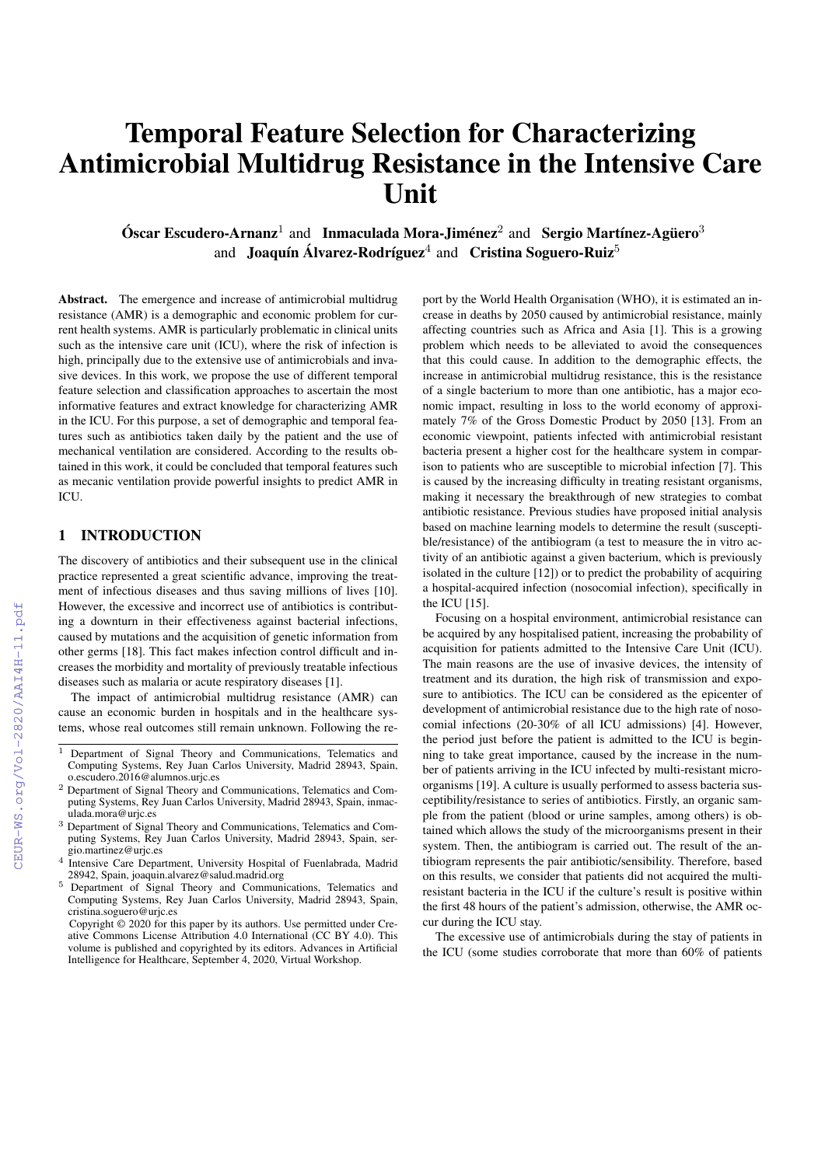# Temporal Feature Selection for Characterizing Antimicrobial Multidrug Resistance in the Intensive Care Unit

## $\acute{\textbf{O}}$ scar Escudero-Arnanz<sup>1</sup> and Inmaculada Mora-Jiménez<sup>2</sup> and Sergio Martínez-Agüero<sup>3</sup> and Joaquín Álvarez-Rodríguez<sup>4</sup> and Cristina Soguero-Ruiz<sup>5</sup>

Abstract. The emergence and increase of antimicrobial multidrug resistance (AMR) is a demographic and economic problem for current health systems. AMR is particularly problematic in clinical units such as the intensive care unit (ICU), where the risk of infection is high, principally due to the extensive use of antimicrobials and invasive devices. In this work, we propose the use of different temporal feature selection and classification approaches to ascertain the most informative features and extract knowledge for characterizing AMR in the ICU. For this purpose, a set of demographic and temporal features such as antibiotics taken daily by the patient and the use of mechanical ventilation are considered. According to the results obtained in this work, it could be concluded that temporal features such as mecanic ventilation provide powerful insights to predict AMR in ICU.

## 1 INTRODUCTION

The discovery of antibiotics and their subsequent use in the clinical practice represented a great scientific advance, improving the treatment of infectious diseases and thus saving millions of lives [10]. However, the excessive and incorrect use of antibiotics is contributing a downturn in their effectiveness against bacterial infections, caused by mutations and the acquisition of genetic information from other germs [18]. This fact makes infection control difficult and increases the morbidity and mortality of previously treatable infectious diseases such as malaria or acute respiratory diseases [1].

The impact of antimicrobial multidrug resistance (AMR) can cause an economic burden in hospitals and in the healthcare systems, whose real outcomes still remain unknown. Following the re-

port by the World Health Organisation (WHO), it is estimated an increase in deaths by 2050 caused by antimicrobial resistance, mainly affecting countries such as Africa and Asia [1]. This is a growing problem which needs to be alleviated to avoid the consequences that this could cause. In addition to the demographic effects, the increase in antimicrobial multidrug resistance, this is the resistance of a single bacterium to more than one antibiotic, has a major economic impact, resulting in loss to the world economy of approximately 7% of the Gross Domestic Product by 2050 [13]. From an economic viewpoint, patients infected with antimicrobial resistant bacteria present a higher cost for the healthcare system in comparison to patients who are susceptible to microbial infection [7]. This is caused by the increasing difficulty in treating resistant organisms, making it necessary the breakthrough of new strategies to combat antibiotic resistance. Previous studies have proposed initial analysis based on machine learning models to determine the result (susceptible/resistance) of the antibiogram (a test to measure the in vitro activity of an antibiotic against a given bacterium, which is previously isolated in the culture [12]) or to predict the probability of acquiring a hospital-acquired infection (nosocomial infection), specifically in the ICU [15].

Focusing on a hospital environment, antimicrobial resistance can be acquired by any hospitalised patient, increasing the probability of acquisition for patients admitted to the Intensive Care Unit (ICU). The main reasons are the use of invasive devices, the intensity of treatment and its duration, the high risk of transmission and exposure to antibiotics. The ICU can be considered as the epicenter of development of antimicrobial resistance due to the high rate of nosocomial infections (20-30% of all ICU admissions) [4]. However, the period just before the patient is admitted to the ICU is beginning to take great importance, caused by the increase in the number of patients arriving in the ICU infected by multi-resistant microorganisms [19]. A culture is usually performed to assess bacteria susceptibility/resistance to series of antibiotics. Firstly, an organic sample from the patient (blood or urine samples, among others) is obtained which allows the study of the microorganisms present in their system. Then, the antibiogram is carried out. The result of the antibiogram represents the pair antibiotic/sensibility. Therefore, based on this results, we consider that patients did not acquired the multiresistant bacteria in the ICU if the culture's result is positive within the first 48 hours of the patient's admission, otherwise, the AMR occur during the ICU stay.

The excessive use of antimicrobials during the stay of patients in the ICU (some studies corroborate that more than 60% of patients

<sup>&</sup>lt;sup>1</sup> Department of Signal Theory and Communications, Telematics and Computing Systems, Rey Juan Carlos University, Madrid 28943, Spain, o.escudero.2016@alumnos.urjc.es

<sup>2</sup> Department of Signal Theory and Communications, Telematics and Computing Systems, Rey Juan Carlos University, Madrid 28943, Spain, inmaculada.mora@urjc.es

<sup>&</sup>lt;sup>3</sup> Department of Signal Theory and Communications, Telematics and Computing Systems, Rey Juan Carlos University, Madrid 28943, Spain, sergio.martinez@urjc.es

<sup>4</sup> Intensive Care Department, University Hospital of Fuenlabrada, Madrid 28942, Spain, joaquin.alvarez@salud.madrid.org

<sup>5</sup> Department of Signal Theory and Communications, Telematics and Computing Systems, Rey Juan Carlos University, Madrid 28943, Spain, cristina.soguero@urjc.es

Copyright © 2020 for this paper by its authors. Use permitted under Creative Commons License Attribution 4.0 International (CC BY 4.0). This volume is published and copyrighted by its editors. Advances in Artificial Intelligence for Healthcare, September 4, 2020, Virtual Workshop.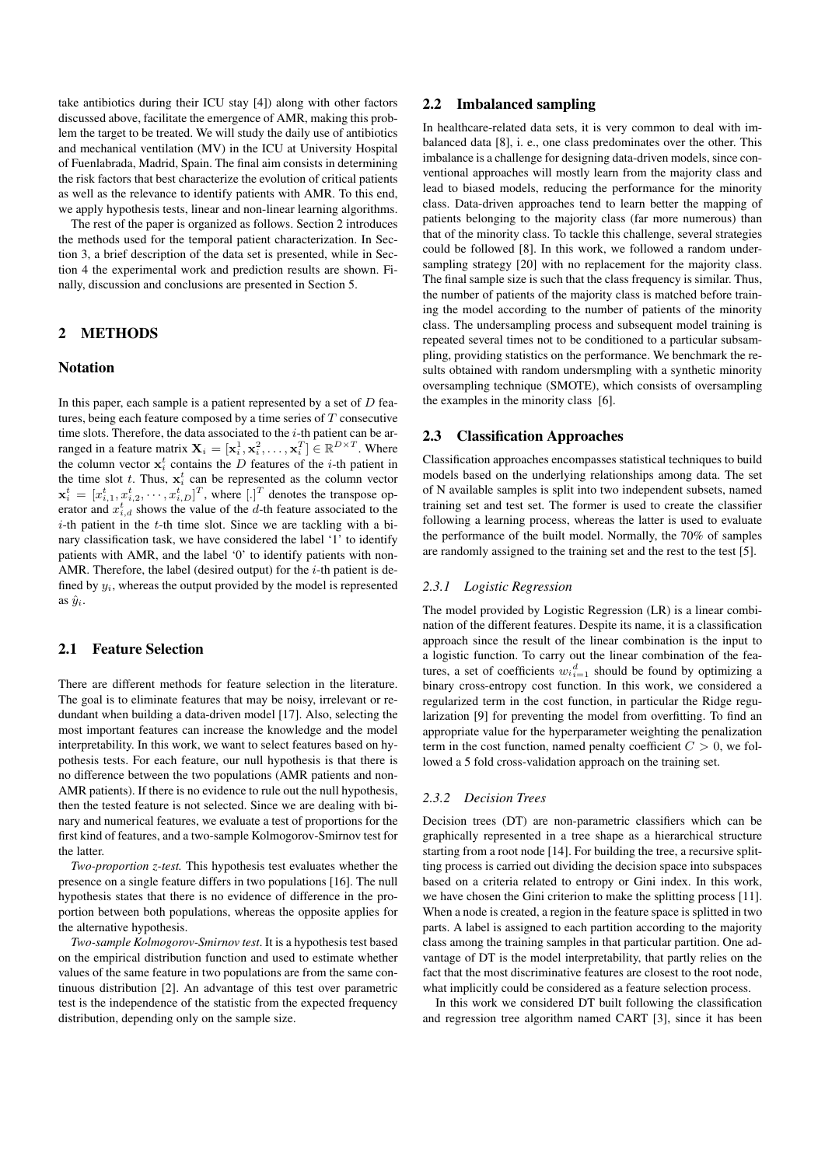take antibiotics during their ICU stay [4]) along with other factors discussed above, facilitate the emergence of AMR, making this problem the target to be treated. We will study the daily use of antibiotics and mechanical ventilation (MV) in the ICU at University Hospital of Fuenlabrada, Madrid, Spain. The final aim consists in determining the risk factors that best characterize the evolution of critical patients as well as the relevance to identify patients with AMR. To this end, we apply hypothesis tests, linear and non-linear learning algorithms.

The rest of the paper is organized as follows. Section 2 introduces the methods used for the temporal patient characterization. In Section 3, a brief description of the data set is presented, while in Section 4 the experimental work and prediction results are shown. Finally, discussion and conclusions are presented in Section 5.

## 2 METHODS

#### Notation

In this paper, each sample is a patient represented by a set of  $D$  features, being each feature composed by a time series of  $T$  consecutive time slots. Therefore, the data associated to the  $i$ -th patient can be arranged in a feature matrix  $\mathbf{X}_i = [\mathbf{x}_i^1, \mathbf{x}_i^2, \dots, \mathbf{x}_i^T] \in \mathbb{R}^{D \times T}$ . Where the column vector  $x_i^t$  contains the D features of the *i*-th patient in the time slot t. Thus,  $x_i^t$  can be represented as the column vector  $\mathbf{x}_i^t = [x_{i,1}^t, x_{i,2}^t, \cdots, x_{i,D}^t]^T$ , where  $[.]^T$  denotes the transpose operator and  $x_{i,d}^t$  shows the value of the d-th feature associated to the  $i$ -th patient in the  $t$ -th time slot. Since we are tackling with a binary classification task, we have considered the label '1' to identify patients with AMR, and the label '0' to identify patients with non-AMR. Therefore, the label (desired output) for the  $i$ -th patient is defined by  $y_i$ , whereas the output provided by the model is represented as  $\hat{y}_i$ .

## 2.1 Feature Selection

There are different methods for feature selection in the literature. The goal is to eliminate features that may be noisy, irrelevant or redundant when building a data-driven model [17]. Also, selecting the most important features can increase the knowledge and the model interpretability. In this work, we want to select features based on hypothesis tests. For each feature, our null hypothesis is that there is no difference between the two populations (AMR patients and non-AMR patients). If there is no evidence to rule out the null hypothesis, then the tested feature is not selected. Since we are dealing with binary and numerical features, we evaluate a test of proportions for the first kind of features, and a two-sample Kolmogorov-Smirnov test for the latter.

*Two-proportion z-test.* This hypothesis test evaluates whether the presence on a single feature differs in two populations [16]. The null hypothesis states that there is no evidence of difference in the proportion between both populations, whereas the opposite applies for the alternative hypothesis.

*Two-sample Kolmogorov-Smirnov test*. It is a hypothesis test based on the empirical distribution function and used to estimate whether values of the same feature in two populations are from the same continuous distribution [2]. An advantage of this test over parametric test is the independence of the statistic from the expected frequency distribution, depending only on the sample size.

#### 2.2 Imbalanced sampling

In healthcare-related data sets, it is very common to deal with imbalanced data [8], i. e., one class predominates over the other. This imbalance is a challenge for designing data-driven models, since conventional approaches will mostly learn from the majority class and lead to biased models, reducing the performance for the minority class. Data-driven approaches tend to learn better the mapping of patients belonging to the majority class (far more numerous) than that of the minority class. To tackle this challenge, several strategies could be followed [8]. In this work, we followed a random undersampling strategy [20] with no replacement for the majority class. The final sample size is such that the class frequency is similar. Thus, the number of patients of the majority class is matched before training the model according to the number of patients of the minority class. The undersampling process and subsequent model training is repeated several times not to be conditioned to a particular subsampling, providing statistics on the performance. We benchmark the results obtained with random undersmpling with a synthetic minority oversampling technique (SMOTE), which consists of oversampling the examples in the minority class [6].

#### 2.3 Classification Approaches

Classification approaches encompasses statistical techniques to build models based on the underlying relationships among data. The set of N available samples is split into two independent subsets, named training set and test set. The former is used to create the classifier following a learning process, whereas the latter is used to evaluate the performance of the built model. Normally, the 70% of samples are randomly assigned to the training set and the rest to the test [5].

#### *2.3.1 Logistic Regression*

The model provided by Logistic Regression (LR) is a linear combination of the different features. Despite its name, it is a classification approach since the result of the linear combination is the input to a logistic function. To carry out the linear combination of the features, a set of coefficients  $w_i_{i=1}^d$  should be found by optimizing a binary cross-entropy cost function. In this work, we considered a regularized term in the cost function, in particular the Ridge regularization [9] for preventing the model from overfitting. To find an appropriate value for the hyperparameter weighting the penalization term in the cost function, named penalty coefficient  $C > 0$ , we followed a 5 fold cross-validation approach on the training set.

#### *2.3.2 Decision Trees*

Decision trees (DT) are non-parametric classifiers which can be graphically represented in a tree shape as a hierarchical structure starting from a root node [14]. For building the tree, a recursive splitting process is carried out dividing the decision space into subspaces based on a criteria related to entropy or Gini index. In this work, we have chosen the Gini criterion to make the splitting process [11]. When a node is created, a region in the feature space is splitted in two parts. A label is assigned to each partition according to the majority class among the training samples in that particular partition. One advantage of DT is the model interpretability, that partly relies on the fact that the most discriminative features are closest to the root node, what implicitly could be considered as a feature selection process.

In this work we considered DT built following the classification and regression tree algorithm named CART [3], since it has been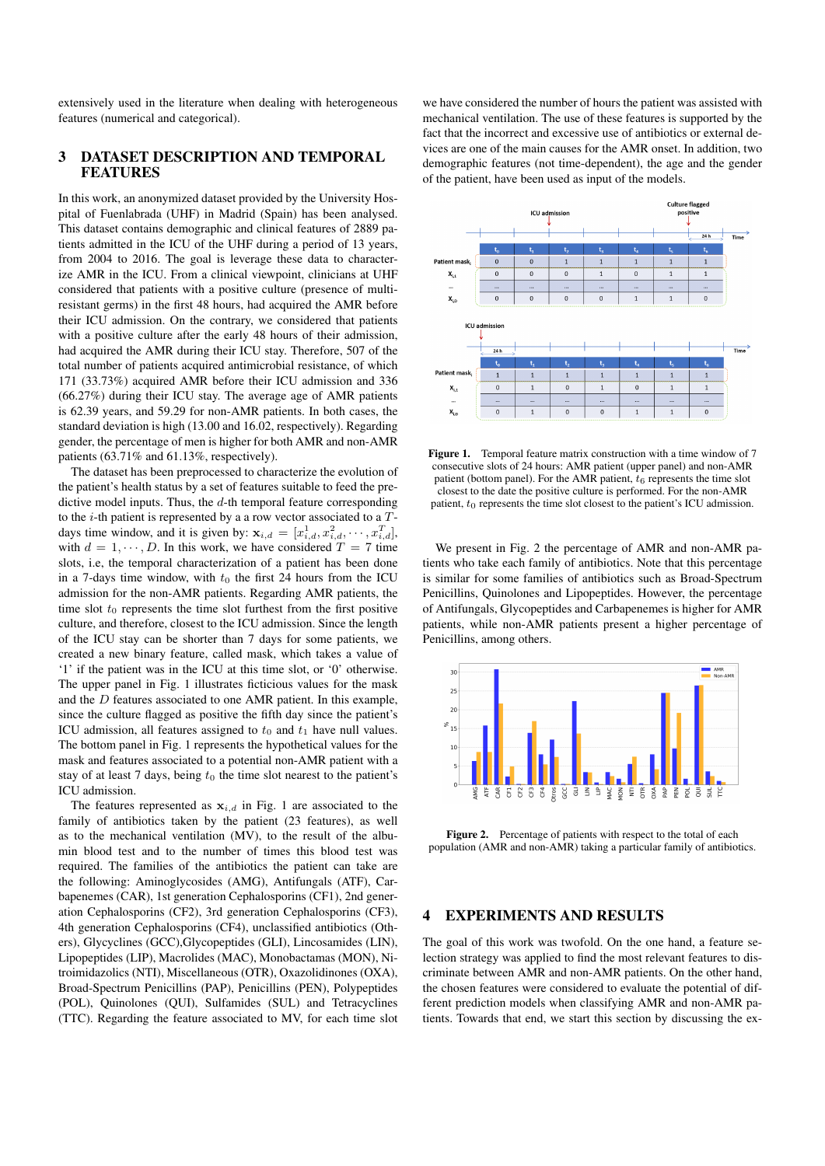extensively used in the literature when dealing with heterogeneous features (numerical and categorical).

## 3 DATASET DESCRIPTION AND TEMPORAL FEATURES

In this work, an anonymized dataset provided by the University Hospital of Fuenlabrada (UHF) in Madrid (Spain) has been analysed. This dataset contains demographic and clinical features of 2889 patients admitted in the ICU of the UHF during a period of 13 years, from 2004 to 2016. The goal is leverage these data to characterize AMR in the ICU. From a clinical viewpoint, clinicians at UHF considered that patients with a positive culture (presence of multiresistant germs) in the first 48 hours, had acquired the AMR before their ICU admission. On the contrary, we considered that patients with a positive culture after the early 48 hours of their admission, had acquired the AMR during their ICU stay. Therefore, 507 of the total number of patients acquired antimicrobial resistance, of which 171 (33.73%) acquired AMR before their ICU admission and 336 (66.27%) during their ICU stay. The average age of AMR patients is 62.39 years, and 59.29 for non-AMR patients. In both cases, the standard deviation is high (13.00 and 16.02, respectively). Regarding gender, the percentage of men is higher for both AMR and non-AMR patients (63.71% and 61.13%, respectively).

The dataset has been preprocessed to characterize the evolution of the patient's health status by a set of features suitable to feed the predictive model inputs. Thus, the  $d$ -th temporal feature corresponding to the  $i$ -th patient is represented by a a row vector associated to a  $T$ days time window, and it is given by:  $\mathbf{x}_{i,d} = [x_{i,d}^1, x_{i,d}^2, \dots, x_{i,d}^T]$ , with  $d = 1, \dots, D$ . In this work, we have considered  $T = 7$  time slots, i.e, the temporal characterization of a patient has been done in a 7-days time window, with  $t_0$  the first 24 hours from the ICU admission for the non-AMR patients. Regarding AMR patients, the time slot  $t_0$  represents the time slot furthest from the first positive culture, and therefore, closest to the ICU admission. Since the length of the ICU stay can be shorter than 7 days for some patients, we created a new binary feature, called mask, which takes a value of '1' if the patient was in the ICU at this time slot, or '0' otherwise. The upper panel in Fig. 1 illustrates ficticious values for the mask and the D features associated to one AMR patient. In this example, since the culture flagged as positive the fifth day since the patient's ICU admission, all features assigned to  $t_0$  and  $t_1$  have null values. The bottom panel in Fig. 1 represents the hypothetical values for the mask and features associated to a potential non-AMR patient with a stay of at least 7 days, being  $t_0$  the time slot nearest to the patient's ICU admission.

The features represented as  $x_{i,d}$  in Fig. 1 are associated to the family of antibiotics taken by the patient (23 features), as well as to the mechanical ventilation (MV), to the result of the albumin blood test and to the number of times this blood test was required. The families of the antibiotics the patient can take are the following: Aminoglycosides (AMG), Antifungals (ATF), Carbapenemes (CAR), 1st generation Cephalosporins (CF1), 2nd generation Cephalosporins (CF2), 3rd generation Cephalosporins (CF3), 4th generation Cephalosporins (CF4), unclassified antibiotics (Others), Glycyclines (GCC),Glycopeptides (GLI), Lincosamides (LIN), Lipopeptides (LIP), Macrolides (MAC), Monobactamas (MON), Nitroimidazolics (NTI), Miscellaneous (OTR), Oxazolidinones (OXA), Broad-Spectrum Penicillins (PAP), Penicillins (PEN), Polypeptides (POL), Quinolones (QUI), Sulfamides (SUL) and Tetracyclines (TTC). Regarding the feature associated to MV, for each time slot we have considered the number of hours the patient was assisted with mechanical ventilation. The use of these features is supported by the fact that the incorrect and excessive use of antibiotics or external devices are one of the main causes for the AMR onset. In addition, two demographic features (not time-dependent), the age and the gender of the patient, have been used as input of the models.



Figure 1. Temporal feature matrix construction with a time window of 7 consecutive slots of 24 hours: AMR patient (upper panel) and non-AMR patient (bottom panel). For the AMR patient,  $t_6$  represents the time slot closest to the date the positive culture is performed. For the non-AMR patient,  $t_0$  represents the time slot closest to the patient's ICU admission.

We present in Fig. 2 the percentage of AMR and non-AMR patients who take each family of antibiotics. Note that this percentage is similar for some families of antibiotics such as Broad-Spectrum Penicillins, Quinolones and Lipopeptides. However, the percentage of Antifungals, Glycopeptides and Carbapenemes is higher for AMR patients, while non-AMR patients present a higher percentage of Penicillins, among others.



Figure 2. Percentage of patients with respect to the total of each population (AMR and non-AMR) taking a particular family of antibiotics.

## 4 EXPERIMENTS AND RESULTS

The goal of this work was twofold. On the one hand, a feature selection strategy was applied to find the most relevant features to discriminate between AMR and non-AMR patients. On the other hand, the chosen features were considered to evaluate the potential of different prediction models when classifying AMR and non-AMR patients. Towards that end, we start this section by discussing the ex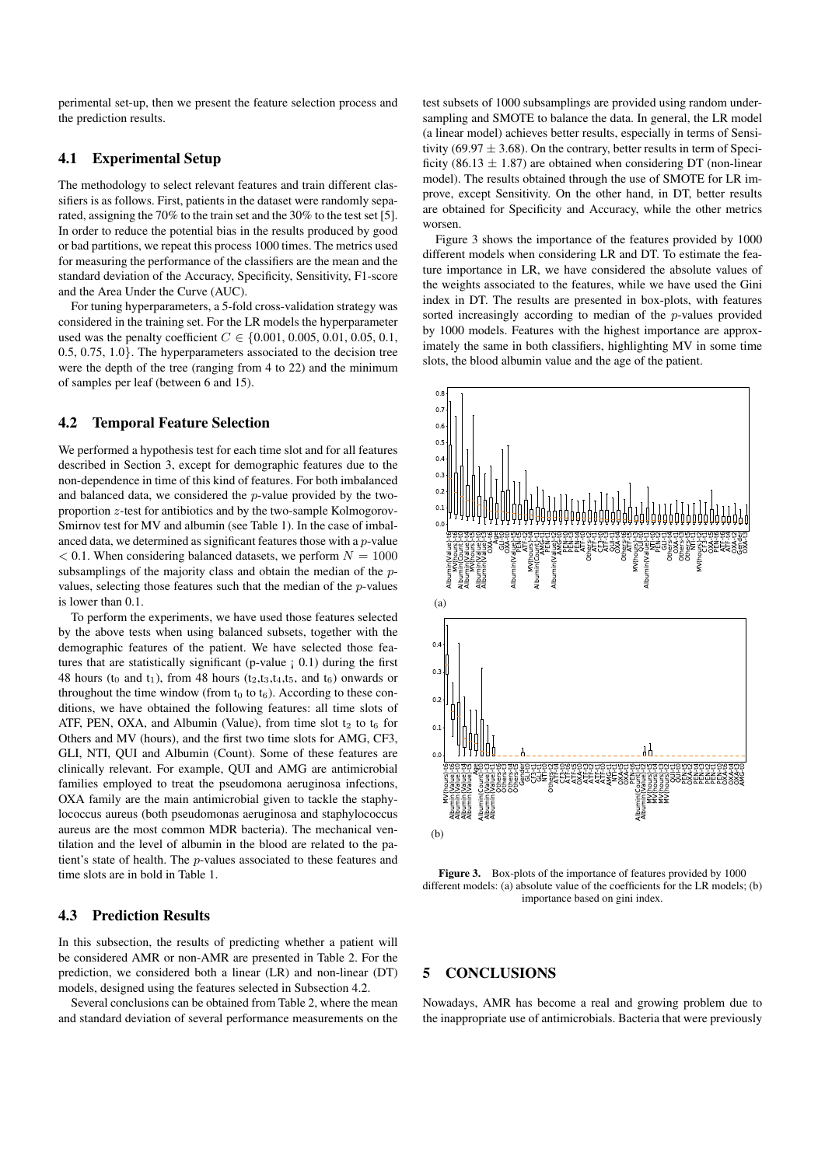perimental set-up, then we present the feature selection process and the prediction results.

#### 4.1 Experimental Setup

The methodology to select relevant features and train different classifiers is as follows. First, patients in the dataset were randomly separated, assigning the 70% to the train set and the 30% to the test set [5]. In order to reduce the potential bias in the results produced by good or bad partitions, we repeat this process 1000 times. The metrics used for measuring the performance of the classifiers are the mean and the standard deviation of the Accuracy, Specificity, Sensitivity, F1-score and the Area Under the Curve (AUC).

For tuning hyperparameters, a 5-fold cross-validation strategy was considered in the training set. For the LR models the hyperparameter used was the penalty coefficient  $C \in \{0.001, 0.005, 0.01, 0.05, 0.1,$ 0.5, 0.75, 1.0}. The hyperparameters associated to the decision tree were the depth of the tree (ranging from 4 to 22) and the minimum of samples per leaf (between 6 and 15).

#### 4.2 Temporal Feature Selection

We performed a hypothesis test for each time slot and for all features described in Section 3, except for demographic features due to the non-dependence in time of this kind of features. For both imbalanced and balanced data, we considered the p-value provided by the twoproportion z-test for antibiotics and by the two-sample Kolmogorov-Smirnov test for MV and albumin (see Table 1). In the case of imbalanced data, we determined as significant features those with a p-value  $< 0.1$ . When considering balanced datasets, we perform  $N = 1000$ subsamplings of the majority class and obtain the median of the pvalues, selecting those features such that the median of the p-values is lower than 0.1.

To perform the experiments, we have used those features selected by the above tests when using balanced subsets, together with the demographic features of the patient. We have selected those features that are statistically significant (p-value  $(0.1)$ ) during the first 48 hours ( $t_0$  and  $t_1$ ), from 48 hours ( $t_2, t_3, t_4, t_5$ , and  $t_6$ ) onwards or throughout the time window (from  $t_0$  to  $t_6$ ). According to these conditions, we have obtained the following features: all time slots of ATF, PEN, OXA, and Albumin (Value), from time slot  $t_2$  to  $t_6$  for Others and MV (hours), and the first two time slots for AMG, CF3, GLI, NTI, QUI and Albumin (Count). Some of these features are clinically relevant. For example, QUI and AMG are antimicrobial families employed to treat the pseudomona aeruginosa infections, OXA family are the main antimicrobial given to tackle the staphylococcus aureus (both pseudomonas aeruginosa and staphylococcus aureus are the most common MDR bacteria). The mechanical ventilation and the level of albumin in the blood are related to the patient's state of health. The p-values associated to these features and time slots are in bold in Table 1.

## 4.3 Prediction Results

In this subsection, the results of predicting whether a patient will be considered AMR or non-AMR are presented in Table 2. For the prediction, we considered both a linear (LR) and non-linear (DT) models, designed using the features selected in Subsection 4.2.

Several conclusions can be obtained from Table 2, where the mean and standard deviation of several performance measurements on the test subsets of 1000 subsamplings are provided using random undersampling and SMOTE to balance the data. In general, the LR model (a linear model) achieves better results, especially in terms of Sensitivity (69.97  $\pm$  3.68). On the contrary, better results in term of Specificity (86.13  $\pm$  1.87) are obtained when considering DT (non-linear model). The results obtained through the use of SMOTE for LR improve, except Sensitivity. On the other hand, in DT, better results are obtained for Specificity and Accuracy, while the other metrics worsen.

Figure 3 shows the importance of the features provided by 1000 different models when considering LR and DT. To estimate the feature importance in LR, we have considered the absolute values of the weights associated to the features, while we have used the Gini index in DT. The results are presented in box-plots, with features sorted increasingly according to median of the p-values provided by 1000 models. Features with the highest importance are approximately the same in both classifiers, highlighting MV in some time slots, the blood albumin value and the age of the patient.



Figure 3. Box-plots of the importance of features provided by 1000 different models: (a) absolute value of the coefficients for the LR models; (b) importance based on gini index.

#### 5 CONCLUSIONS

Nowadays, AMR has become a real and growing problem due to the inappropriate use of antimicrobials. Bacteria that were previously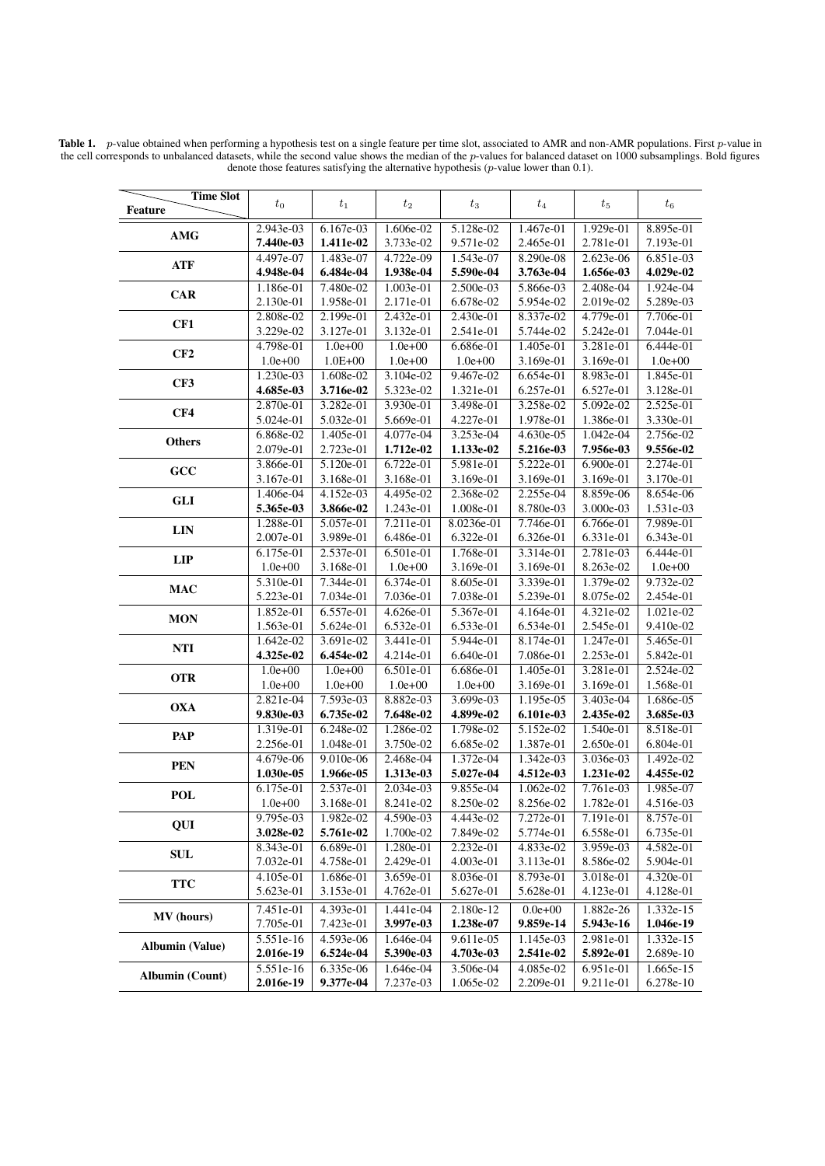Table 1.  $p$ -value obtained when performing a hypothesis test on a single feature per time slot, associated to AMR and non-AMR populations. First  $p$ -value in the cell corresponds to unbalanced datasets, while the second value shows the median of the p-values for balanced dataset on 1000 subsamplings. Bold figures denote those features satisfying the alternative hypothesis (p-value lower than 0.1).

| <b>Time Slot</b><br>Feature | $t_{0}$                | $t_1$                  | $t_2$                  | $t_3$                  | $t_4$                  | $t_{5}$                  | $t_6$                  |
|-----------------------------|------------------------|------------------------|------------------------|------------------------|------------------------|--------------------------|------------------------|
|                             |                        |                        |                        |                        |                        |                          |                        |
| <b>AMG</b>                  | 2.943e-03              | 6.167e-03              | 1.606e-02              | 5.128e-02              | 1.467e-01              | 1.929e-01                | 8.895e-01              |
|                             | 7.440e-03<br>4.497e-07 | 1.411e-02              | 3.733e-02              | 9.571e-02              | 2.465e-01              | 2.781e-01<br>$2.623e-06$ | 7.193e-01<br>6.851e-03 |
| <b>ATF</b>                  | 4.948e-04              | 1.483e-07<br>6.484e-04 | 4.722e-09<br>1.938e-04 | 1.543e-07<br>5.590e-04 | 8.290e-08<br>3.763e-04 | 1.656e-03                | 4.029e-02              |
|                             | 1.186e-01              | 7.480e-02              | 1.003e-01              | 2.500e-03              | 5.866e-03              | 2.408e-04                | 1.924e-04              |
| <b>CAR</b>                  | 2.130e-01              | 1.958e-01              | 2.171e-01              | 6.678e-02              | 5.954e-02              | 2.019e-02                | 5.289e-03              |
|                             | 2.808e-02              | 2.199e-01              | $2.432e-01$            | 2.430e-01              | 8.337e-02              | 4.779e-01                | 7.706e-01              |
| CF1                         | 3.229e-02              | 3.127e-01              | 3.132e-01              | 2.541e-01              | 5.744e-02              | 5.242e-01                | 7.044e-01              |
|                             | 4.798e-01              | $1.0e + 00$            | $1.0e + 00$            | 6.686e-01              | 1.405e-01              | 3.281e-01                | 6.444e-01              |
| CF2                         | $1.0e + 00$            | $1.0E + 00$            | $1.0e + 00$            | $1.0e + 00$            | 3.169e-01              | 3.169e-01                | $1.0e+00$              |
|                             | 1.230e-03              | 1.608e-02              | 3.104e-02              | 9.467e-02              | 6.654e-01              | 8.983e-01                | 1.845e-01              |
| CF3                         | 4.685e-03              | 3.716e-02              | 5.323e-02              | 1.321e-01              | 6.257e-01              | 6.527e-01                | 3.128e-01              |
| CF4                         | 2.870e-01              | 3.282e-01              | 3.930e-01              | 3.498e-01              | 3.258e-02              | 5.092e-02                | 2.525e-01              |
|                             | 5.024e-01              | 5.032e-01              | 5.669e-01              | 4.227e-01              | 1.978e-01              | 1.386e-01                | 3.330e-01              |
| <b>Others</b>               | 6.868e-02              | 1.405e-01              | 4.077e-04              | 3.253e-04              | 4.630e-05              | 1.042e-04                | 2.756e-02              |
|                             | 2.079e-01              | 2.723e-01              | 1.712e-02              | 1.133e-02              | 5.216e-03              | 7.956e-03                | 9.556e-02              |
| GCC                         | 3.866e-01              | 5.120e-01              | 6.722e-01              | 5.981e-01              | 5.222e-01              | 6.900e-01                | 2.274e-01              |
|                             | 3.167e-01              | 3.168e-01              | 3.168e-01              | 3.169e-01              | 3.169e-01              | 3.169e-01                | 3.170e-01              |
| <b>GLI</b>                  | 1.406e-04              | 4.152e-03              | 4.495e-02              | 2.368e-02              | 2.255e-04              | 8.859e-06                | 8.654e-06              |
|                             | 5.365e-03              | 3.866e-02              | 1.243e-01              | 1.008e-01              | 8.780e-03              | 3.000e-03                | 1.531e-03              |
|                             | 1.288e-01              | 5.057e-01              | 7.211e-01              | 8.0236e-01             | 7.746e-01              | 6.766e-01                | 7.989e-01              |
| <b>LIN</b>                  | 2.007e-01              | 3.989e-01              | 6.486e-01              | 6.322e-01              | 6.326e-01              | 6.331e-01                | 6.343e-01              |
|                             | 6.175e-01              | 2.537e-01              | 6.501e-01              | 1.768e-01              | 3.314e-01              | 2.781e-03                | 6.444e-01              |
| <b>LIP</b>                  | $1.0e+00$              | 3.168e-01              | $1.0e + 00$            | 3.169e-01              | 3.169e-01              | 8.263e-02                | $1.0e+00$              |
|                             | 5.310e-01              | 7.344e-01              | 6.374e-01              | 8.605e-01              | 3.339e-01              | 1.379e-02                | 9.732e-02              |
| <b>MAC</b>                  | 5.223e-01              | 7.034e-01              | 7.036e-01              | 7.038e-01              | 5.239e-01              | 8.075e-02                | 2.454e-01              |
| <b>MON</b>                  | 1.852e-01              | 6.557e-01              | 4.626e-01              | 5.367e-01              | 4.164e-01              | 4.321e-02                | 1.021e-02              |
|                             | 1.563e-01              | 5.624e-01              | 6.532e-01              | 6.533e-01              | 6.534e-01              | 2.545e-01                | 9.410e-02              |
| <b>NTI</b>                  | $1.642e-02$            | 3.691e-02              | 3.441e-01              | 5.944e-01              | 8.174e-01              | 1.247e-01                | 5.465e-01              |
|                             | 4.325e-02              | 6.454e-02              | 4.214e-01              | 6.640e-01              | 7.086e-01              | 2.253e-01                | 5.842e-01              |
| <b>OTR</b>                  | $1.0e + 00$            | $1.0e+00$              | 6.501e-01              | 6.686e-01              | 1.405e-01              | 3.281e-01                | 2.524e-02              |
|                             | $1.0e+00$              | $1.0e+00$              | $1.0e+00$              | $1.0e+00$              | 3.169e-01              | 3.169e-01                | 1.568e-01              |
| <b>OXA</b>                  | 2.821e-04              | 7.593e-03              | 8.882e-03              | 3.699e-03              | 1.195e-05              | 3.403e-04                | 1.686e-05              |
|                             | 9.830e-03              | 6.735e-02              | 7.648e-02              | 4.899e-02              | 6.101e-03              | 2.435e-02                | 3.685e-03              |
| <b>PAP</b>                  | 1.319e-01              | 6.248e-02              | 1.286e-02              | 1.798e-02              | 5.152e-02              | 1.540e-01                | 8.518e-01              |
|                             | 2.256e-01              | 1.048e-01              | 3.750e-02              | 6.685e-02              | 1.387e-01              | 2.650e-01                | 6.804e-01              |
| <b>PEN</b>                  | 4.679e-06              | 9.010e-06              | 2.468e-04              | 1.372e-04              | 1.342e-03              | 3.036e-03                | 1.492e-02              |
|                             | 1.030e-05              | 1.966e-05              | 1.313e-03              | 5.027e-04              | 4.512e-03              | 1.231e-02                | 4.455e-02              |
| <b>POL</b>                  | 6.175e-01              | 2.537e-01              | 2.034e-03              | 9.855e-04              | $1.062e-02$            | $7.761e-03$              | 1.985e-07              |
|                             | $1.0e+00$              | 3.168e-01              | 8.241e-02              | 8.250e-02              | 8.256e-02              | 1.782e-01                | 4.516e-03              |
| QUI                         | 9.795e-03              | 1.982e-02              | 4.590e-03              | 4.443e-02              | 7.272e-01              | 7.191e-01                | 8.757e-01              |
| <b>SUL</b>                  | 3.028e-02<br>8.343e-01 | 5.761e-02<br>6.689e-01 | 1.700e-02<br>1.280e-01 | 7.849e-02<br>2.232e-01 | 5.774e-01<br>4.833e-02 | 6.558e-01<br>3.959e-03   | 6.735e-01<br>4.582e-01 |
|                             | 7.032e-01              | 4.758e-01              | 2.429e-01              | $4.003e-01$            | 3.113e-01              | 8.586e-02                | 5.904e-01              |
|                             | 4.105e-01              | 1.686e-01              | 3.659e-01              | 8.036e-01              | 8.793e-01              | 3.018e-01                | 4.320e-01              |
| <b>TTC</b>                  | 5.623e-01              | 3.153e-01              | 4.762e-01              | 5.627e-01              | 5.628e-01              | 4.123e-01                | 4.128e-01              |
|                             |                        |                        |                        |                        |                        |                          |                        |
| <b>MV</b> (hours)           | 7.451e-01              | 4.393e-01              | 1.441e-04              | 2.180e-12              | $0.0e + 00$            | 1.882e-26                | 1.332e-15              |
|                             | 7.705e-01              | 7.423e-01              | 3.997e-03              | 1.238e-07              | 9.859e-14              | 5.943e-16                | 1.046e-19              |
| <b>Albumin (Value)</b>      | 5.551e-16              | 4.593e-06              | 1.646e-04              | 9.611e-05              | 1.145e-03              | 2.981e-01                | 1.332e-15              |
|                             | 2.016e-19              | 6.524e-04              | 5.390e-03              | 4.703e-03              | 2.541e-02              | 5.892e-01                | 2.689e-10              |
| <b>Albumin (Count)</b>      | 5.551e-16              | 6.335e-06              | 1.646e-04              | 3.506e-04              | 4.085e-02              | 6.951e-01                | 1.665e-15              |
|                             | 2.016e-19              | 9.377e-04              | 7.237e-03              | 1.065e-02              | 2.209e-01              | 9.211e-01                | 6.278e-10              |